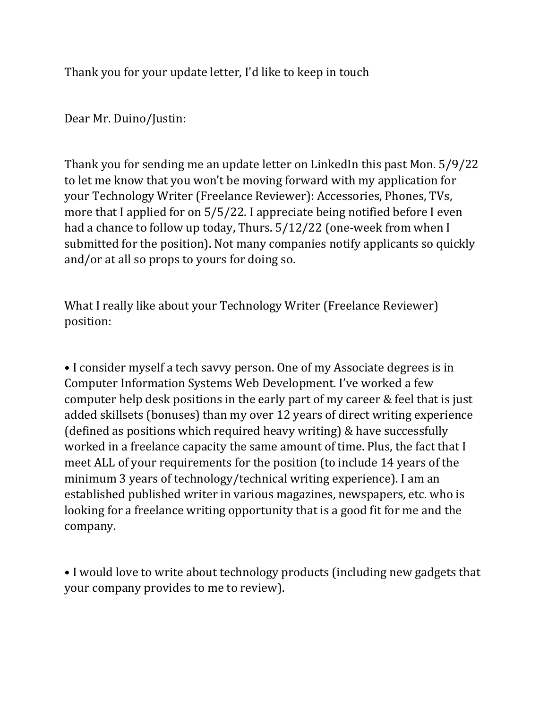Thank you for your update letter, I'd like to keep in touch

Dear Mr. Duino/Justin:

Thank you for sending me an update letter on LinkedIn this past Mon. 5/9/22 to let me know that you won't be moving forward with my application for your Technology Writer (Freelance Reviewer): Accessories, Phones, TVs, more that I applied for on 5/5/22. I appreciate being notified before I even had a chance to follow up today, Thurs. 5/12/22 (one-week from when I submitted for the position). Not many companies notify applicants so quickly and/or at all so props to yours for doing so.

What I really like about your Technology Writer (Freelance Reviewer) position:

• I consider myself a tech savvy person. One of my Associate degrees is in Computer Information Systems Web Development. I've worked a few computer help desk positions in the early part of my career & feel that is just added skillsets (bonuses) than my over 12 years of direct writing experience (defined as positions which required heavy writing) & have successfully worked in a freelance capacity the same amount of time. Plus, the fact that I meet ALL of your requirements for the position (to include 14 years of the minimum 3 years of technology/technical writing experience). I am an established published writer in various magazines, newspapers, etc. who is looking for a freelance writing opportunity that is a good fit for me and the company.

• I would love to write about technology products (including new gadgets that your company provides to me to review).